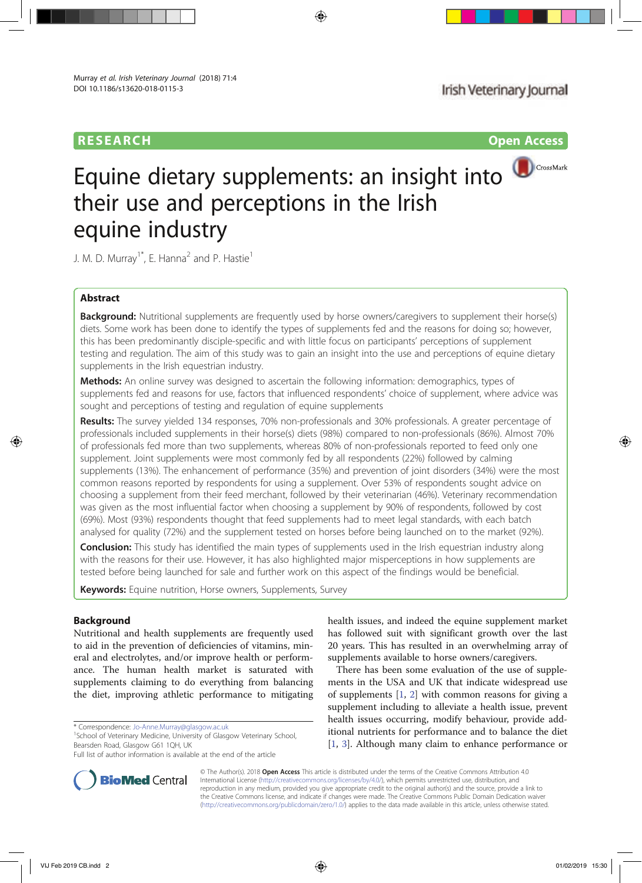# RESEARCH **Open Access**



# Equine dietary supplements: an insight into their use and perceptions in the Irish equine industry

J. M. D. Murray<sup>1\*</sup>, E. Hanna<sup>2</sup> and P. Hastie<sup>1</sup>

# Abstract

**Background:** Nutritional supplements are frequently used by horse owners/caregivers to supplement their horse(s) diets. Some work has been done to identify the types of supplements fed and the reasons for doing so; however, this has been predominantly disciple-specific and with little focus on participants' perceptions of supplement testing and regulation. The aim of this study was to gain an insight into the use and perceptions of equine dietary supplements in the Irish equestrian industry.

Methods: An online survey was designed to ascertain the following information: demographics, types of supplements fed and reasons for use, factors that influenced respondents' choice of supplement, where advice was sought and perceptions of testing and regulation of equine supplements

Results: The survey yielded 134 responses, 70% non-professionals and 30% professionals. A greater percentage of professionals included supplements in their horse(s) diets (98%) compared to non-professionals (86%). Almost 70% of professionals fed more than two supplements, whereas 80% of non-professionals reported to feed only one supplement. Joint supplements were most commonly fed by all respondents (22%) followed by calming supplements (13%). The enhancement of performance (35%) and prevention of joint disorders (34%) were the most common reasons reported by respondents for using a supplement. Over 53% of respondents sought advice on choosing a supplement from their feed merchant, followed by their veterinarian (46%). Veterinary recommendation was given as the most influential factor when choosing a supplement by 90% of respondents, followed by cost (69%). Most (93%) respondents thought that feed supplements had to meet legal standards, with each batch analysed for quality (72%) and the supplement tested on horses before being launched on to the market (92%).

**Conclusion:** This study has identified the main types of supplements used in the Irish equestrian industry along with the reasons for their use. However, it has also highlighted major misperceptions in how supplements are tested before being launched for sale and further work on this aspect of the findings would be beneficial.

Keywords: Equine nutrition, Horse owners, Supplements, Survey

# Background

Nutritional and health supplements are frequently used to aid in the prevention of deficiencies of vitamins, mineral and electrolytes, and/or improve health or performance. The human health market is saturated with supplements claiming to do everything from balancing the diet, improving athletic performance to mitigating

<sup>1</sup>School of Veterinary Medicine, University of Glasgow Veterinary School, Bearsden Road, Glasgow G61 1QH, UK



There has been some evaluation of the use of supplements in the USA and UK that indicate widespread use of supplements [1, 2] with common reasons for giving a supplement including to alleviate a health issue, prevent health issues occurring, modify behaviour, provide additional nutrients for performance and to balance the diet [1, 3]. Although many claim to enhance performance or



© The Author(s), 2018 **Open Access** This article is distributed under the terms of the Creative Commons Attribution 4.0 International License (http://creativecommons.org/licenses/by/4.0/), which permits unrestricted use, distribution, and reproduction in any medium, provided you give appropriate credit to the original author(s) and the source, provide a link to the Creative Commons license, and indicate if changes were made. The Creative Commons Public Domain Dedication waiver (http://creativecommons.org/publicdomain/zero/1.0/) applies to the data made available in this article, unless otherwise stated.

<sup>\*</sup> Correspondence: Jo-Anne.Murray@glasgow.ac.uk <sup>1</sup>

Full list of author information is available at the end of the article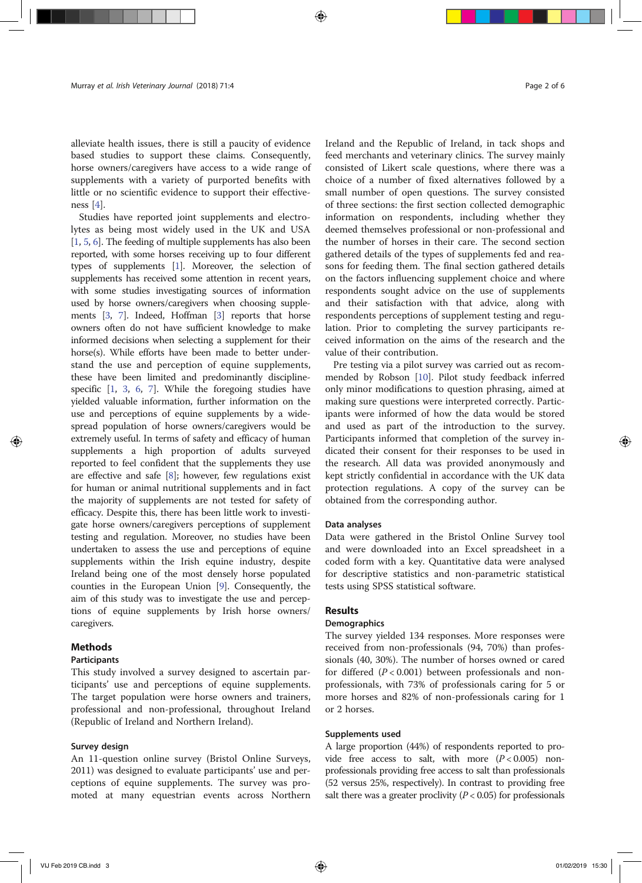alleviate health issues, there is still a paucity of evidence based studies to support these claims. Consequently, horse owners/caregivers have access to a wide range of supplements with a variety of purported benefits with little or no scientific evidence to support their effectiveness [4].

Studies have reported joint supplements and electrolytes as being most widely used in the UK and USA [1, 5, 6]. The feeding of multiple supplements has also been reported, with some horses receiving up to four different types of supplements [1]. Moreover, the selection of supplements has received some attention in recent years, with some studies investigating sources of information used by horse owners/caregivers when choosing supplements [3, 7]. Indeed, Hoffman [3] reports that horse owners often do not have sufficient knowledge to make informed decisions when selecting a supplement for their horse(s). While efforts have been made to better understand the use and perception of equine supplements, these have been limited and predominantly disciplinespecific [1, 3, 6, 7]. While the foregoing studies have yielded valuable information, further information on the use and perceptions of equine supplements by a widespread population of horse owners/caregivers would be extremely useful. In terms of safety and efficacy of human supplements a high proportion of adults surveyed reported to feel confident that the supplements they use are effective and safe [8]; however, few regulations exist for human or animal nutritional supplements and in fact the majority of supplements are not tested for safety of efficacy. Despite this, there has been little work to investigate horse owners/caregivers perceptions of supplement testing and regulation. Moreover, no studies have been undertaken to assess the use and perceptions of equine supplements within the Irish equine industry, despite Ireland being one of the most densely horse populated counties in the European Union [9]. Consequently, the aim of this study was to investigate the use and perceptions of equine supplements by Irish horse owners/ caregivers.

# Methods

# Participants

This study involved a survey designed to ascertain participants' use and perceptions of equine supplements. The target population were horse owners and trainers, professional and non-professional, throughout Ireland (Republic of Ireland and Northern Ireland).

#### Survey design

An 11-question online survey (Bristol Online Surveys, 2011) was designed to evaluate participants' use and perceptions of equine supplements. The survey was promoted at many equestrian events across Northern Ireland and the Republic of Ireland, in tack shops and feed merchants and veterinary clinics. The survey mainly consisted of Likert scale questions, where there was a choice of a number of fixed alternatives followed by a small number of open questions. The survey consisted of three sections: the first section collected demographic information on respondents, including whether they deemed themselves professional or non-professional and the number of horses in their care. The second section gathered details of the types of supplements fed and reasons for feeding them. The final section gathered details on the factors influencing supplement choice and where respondents sought advice on the use of supplements and their satisfaction with that advice, along with respondents perceptions of supplement testing and regulation. Prior to completing the survey participants received information on the aims of the research and the value of their contribution.

Pre testing via a pilot survey was carried out as recommended by Robson [10]. Pilot study feedback inferred only minor modifications to question phrasing, aimed at making sure questions were interpreted correctly. Participants were informed of how the data would be stored and used as part of the introduction to the survey. Participants informed that completion of the survey indicated their consent for their responses to be used in the research. All data was provided anonymously and kept strictly confidential in accordance with the UK data protection regulations. A copy of the survey can be obtained from the corresponding author.

#### Data analyses

Data were gathered in the Bristol Online Survey tool and were downloaded into an Excel spreadsheet in a coded form with a key. Quantitative data were analysed for descriptive statistics and non-parametric statistical tests using SPSS statistical software.

#### Results

## Demographics

The survey yielded 134 responses. More responses were received from non-professionals (94, 70%) than professionals (40, 30%). The number of horses owned or cared for differed  $(P < 0.001)$  between professionals and nonprofessionals, with 73% of professionals caring for 5 or more horses and 82% of non-professionals caring for 1 or 2 horses.

#### Supplements used

A large proportion (44%) of respondents reported to provide free access to salt, with more  $(P < 0.005)$  nonprofessionals providing free access to salt than professionals (52 versus 25%, respectively). In contrast to providing free salt there was a greater proclivity ( $P < 0.05$ ) for professionals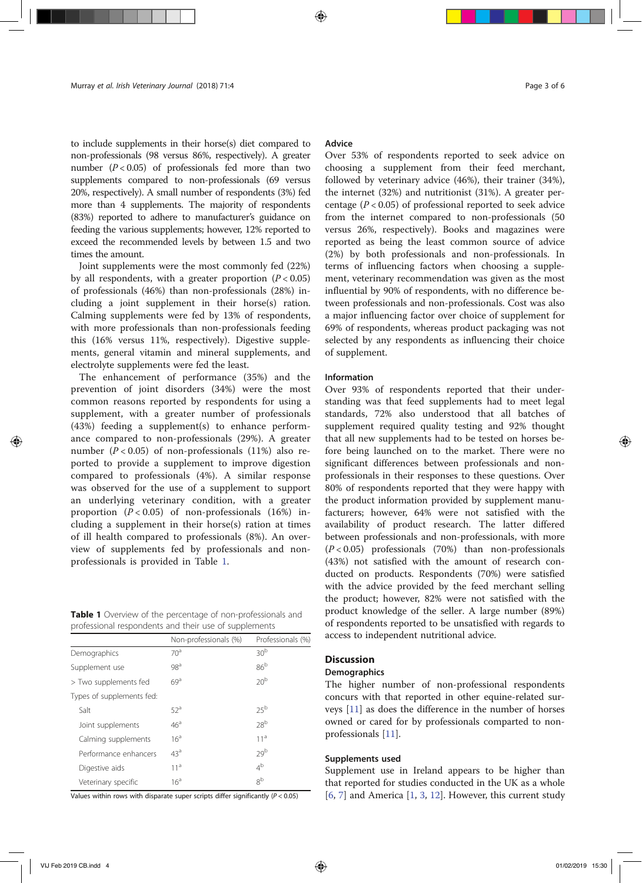to include supplements in their horse(s) diet compared to non-professionals (98 versus 86%, respectively). A greater number  $(P < 0.05)$  of professionals fed more than two supplements compared to non-professionals (69 versus 20%, respectively). A small number of respondents (3%) fed more than 4 supplements. The majority of respondents (83%) reported to adhere to manufacturer's guidance on feeding the various supplements; however, 12% reported to exceed the recommended levels by between 1.5 and two times the amount.

Joint supplements were the most commonly fed (22%) by all respondents, with a greater proportion  $(P < 0.05)$ of professionals (46%) than non-professionals (28%) including a joint supplement in their horse(s) ration. Calming supplements were fed by 13% of respondents, with more professionals than non-professionals feeding this (16% versus 11%, respectively). Digestive supplements, general vitamin and mineral supplements, and electrolyte supplements were fed the least.

The enhancement of performance (35%) and the prevention of joint disorders (34%) were the most common reasons reported by respondents for using a supplement, with a greater number of professionals (43%) feeding a supplement(s) to enhance performance compared to non-professionals (29%). A greater number ( $P < 0.05$ ) of non-professionals (11%) also reported to provide a supplement to improve digestion compared to professionals (4%). A similar response was observed for the use of a supplement to support an underlying veterinary condition, with a greater proportion  $(P < 0.05)$  of non-professionals  $(16%)$  including a supplement in their horse(s) ration at times of ill health compared to professionals (8%). An overview of supplements fed by professionals and nonprofessionals is provided in Table 1.

| Table 1 Overview of the percentage of non-professionals and |  |
|-------------------------------------------------------------|--|
| professional respondents and their use of supplements       |  |

|                           | Non-professionals (%) | Professionals (%) |
|---------------------------|-----------------------|-------------------|
| Demographics              | 70 <sup>a</sup>       | 30 <sup>b</sup>   |
| Supplement use            | 98 <sup>a</sup>       | 86 <sup>b</sup>   |
| > Two supplements fed     | 69 <sup>a</sup>       | 20 <sup>b</sup>   |
| Types of supplements fed: |                       |                   |
| Salt                      | 52 <sup>a</sup>       | $25^{\rm b}$      |
| Joint supplements         | 46 <sup>a</sup>       | 28 <sup>b</sup>   |
| Calming supplements       | 16 <sup>a</sup>       | 11 <sup>a</sup>   |
| Performance enhancers     | 43 <sup>a</sup>       | 29 <sup>b</sup>   |
| Digestive aids            | 11 <sup>a</sup>       | 4 <sup>b</sup>    |
| Veterinary specific       | 16 <sup>a</sup>       | 8 <sup>b</sup>    |

Values within rows with disparate super scripts differ significantly  $(P < 0.05)$ 

## Advice

Over 53% of respondents reported to seek advice on choosing a supplement from their feed merchant, followed by veterinary advice (46%), their trainer (34%), the internet (32%) and nutritionist (31%). A greater percentage ( $P < 0.05$ ) of professional reported to seek advice from the internet compared to non-professionals (50 versus 26%, respectively). Books and magazines were reported as being the least common source of advice (2%) by both professionals and non-professionals. In terms of influencing factors when choosing a supplement, veterinary recommendation was given as the most influential by 90% of respondents, with no difference between professionals and non-professionals. Cost was also a major influencing factor over choice of supplement for 69% of respondents, whereas product packaging was not selected by any respondents as influencing their choice of supplement.

## Information

Over 93% of respondents reported that their understanding was that feed supplements had to meet legal standards, 72% also understood that all batches of supplement required quality testing and 92% thought that all new supplements had to be tested on horses before being launched on to the market. There were no significant differences between professionals and nonprofessionals in their responses to these questions. Over 80% of respondents reported that they were happy with the product information provided by supplement manufacturers; however, 64% were not satisfied with the availability of product research. The latter differed between professionals and non-professionals, with more  $(P < 0.05)$  professionals (70%) than non-professionals (43%) not satisfied with the amount of research conducted on products. Respondents (70%) were satisfied with the advice provided by the feed merchant selling the product; however, 82% were not satisfied with the product knowledge of the seller. A large number (89%) of respondents reported to be unsatisfied with regards to access to independent nutritional advice.

# **Discussion**

#### **Demographics**

The higher number of non-professional respondents concurs with that reported in other equine-related surveys [11] as does the difference in the number of horses owned or cared for by professionals comparted to nonprofessionals [11].

#### Supplements used

Supplement use in Ireland appears to be higher than that reported for studies conducted in the UK as a whole [6, 7] and America [1, 3, 12]. However, this current study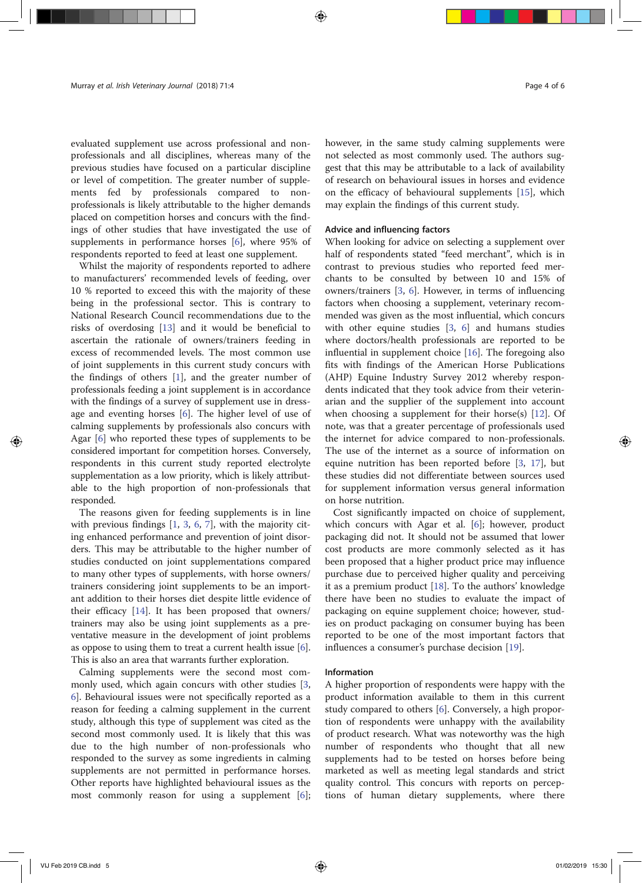evaluated supplement use across professional and nonprofessionals and all disciplines, whereas many of the previous studies have focused on a particular discipline or level of competition. The greater number of supplements fed by professionals compared to nonprofessionals is likely attributable to the higher demands placed on competition horses and concurs with the findings of other studies that have investigated the use of supplements in performance horses [6], where 95% of respondents reported to feed at least one supplement.

Whilst the majority of respondents reported to adhere to manufacturers' recommended levels of feeding, over 10 % reported to exceed this with the majority of these being in the professional sector. This is contrary to National Research Council recommendations due to the risks of overdosing [13] and it would be beneficial to ascertain the rationale of owners/trainers feeding in excess of recommended levels. The most common use of joint supplements in this current study concurs with the findings of others [1], and the greater number of professionals feeding a joint supplement is in accordance with the findings of a survey of supplement use in dressage and eventing horses [6]. The higher level of use of calming supplements by professionals also concurs with Agar [6] who reported these types of supplements to be considered important for competition horses. Conversely, respondents in this current study reported electrolyte supplementation as a low priority, which is likely attributable to the high proportion of non-professionals that responded.

The reasons given for feeding supplements is in line with previous findings [1, 3, 6, 7], with the majority citing enhanced performance and prevention of joint disorders. This may be attributable to the higher number of studies conducted on joint supplementations compared to many other types of supplements, with horse owners/ trainers considering joint supplements to be an important addition to their horses diet despite little evidence of their efficacy [14]. It has been proposed that owners/ trainers may also be using joint supplements as a preventative measure in the development of joint problems as oppose to using them to treat a current health issue [6]. This is also an area that warrants further exploration.

Calming supplements were the second most commonly used, which again concurs with other studies [3, 6]. Behavioural issues were not specifically reported as a reason for feeding a calming supplement in the current study, although this type of supplement was cited as the second most commonly used. It is likely that this was due to the high number of non-professionals who responded to the survey as some ingredients in calming supplements are not permitted in performance horses. Other reports have highlighted behavioural issues as the most commonly reason for using a supplement [6];

however, in the same study calming supplements were not selected as most commonly used. The authors suggest that this may be attributable to a lack of availability of research on behavioural issues in horses and evidence on the efficacy of behavioural supplements [15], which may explain the findings of this current study.

#### Advice and influencing factors

When looking for advice on selecting a supplement over half of respondents stated "feed merchant", which is in contrast to previous studies who reported feed merchants to be consulted by between 10 and 15% of owners/trainers [3, 6]. However, in terms of influencing factors when choosing a supplement, veterinary recommended was given as the most influential, which concurs with other equine studies [3, 6] and humans studies where doctors/health professionals are reported to be influential in supplement choice [16]. The foregoing also fits with findings of the American Horse Publications (AHP) Equine Industry Survey 2012 whereby respondents indicated that they took advice from their veterinarian and the supplier of the supplement into account when choosing a supplement for their horse(s) [12]. Of note, was that a greater percentage of professionals used the internet for advice compared to non-professionals. The use of the internet as a source of information on equine nutrition has been reported before [3, 17], but these studies did not differentiate between sources used for supplement information versus general information on horse nutrition.

Cost significantly impacted on choice of supplement, which concurs with Agar et al. [6]; however, product packaging did not. It should not be assumed that lower cost products are more commonly selected as it has been proposed that a higher product price may influence purchase due to perceived higher quality and perceiving it as a premium product [18]. To the authors' knowledge there have been no studies to evaluate the impact of packaging on equine supplement choice; however, studies on product packaging on consumer buying has been reported to be one of the most important factors that influences a consumer's purchase decision [19].

## Information

A higher proportion of respondents were happy with the product information available to them in this current study compared to others [6]. Conversely, a high proportion of respondents were unhappy with the availability of product research. What was noteworthy was the high number of respondents who thought that all new supplements had to be tested on horses before being marketed as well as meeting legal standards and strict quality control. This concurs with reports on perceptions of human dietary supplements, where there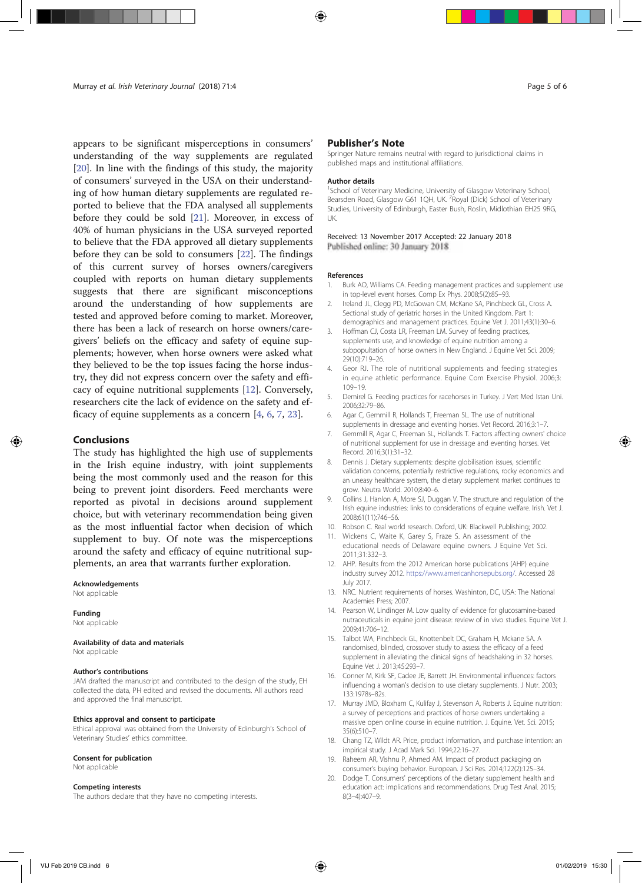appears to be significant misperceptions in consumers' understanding of the way supplements are regulated [20]. In line with the findings of this study, the majority of consumers' surveyed in the USA on their understanding of how human dietary supplements are regulated reported to believe that the FDA analysed all supplements before they could be sold [21]. Moreover, in excess of 40% of human physicians in the USA surveyed reported to believe that the FDA approved all dietary supplements before they can be sold to consumers [22]. The findings of this current survey of horses owners/caregivers coupled with reports on human dietary supplements suggests that there are significant misconceptions around the understanding of how supplements are tested and approved before coming to market. Moreover, there has been a lack of research on horse owners/caregivers' beliefs on the efficacy and safety of equine supplements; however, when horse owners were asked what they believed to be the top issues facing the horse industry, they did not express concern over the safety and efficacy of equine nutritional supplements [12]. Conversely, researchers cite the lack of evidence on the safety and efficacy of equine supplements as a concern [4, 6, 7, 23].

#### Conclusions

The study has highlighted the high use of supplements in the Irish equine industry, with joint supplements being the most commonly used and the reason for this being to prevent joint disorders. Feed merchants were reported as pivotal in decisions around supplement choice, but with veterinary recommendation being given as the most influential factor when decision of which supplement to buy. Of note was the misperceptions around the safety and efficacy of equine nutritional supplements, an area that warrants further exploration.

Acknowledgements

Not applicable

Funding Not applicable

#### Availability of data and materials Not applicable

#### Author's contributions

JAM drafted the manuscript and contributed to the design of the study, EH collected the data, PH edited and revised the documents. All authors read and approved the final manuscript.

#### Ethics approval and consent to participate

Ethical approval was obtained from the University of Edinburgh's School of Veterinary Studies' ethics committee.

#### Consent for publication

Not applicable

#### Competing interests

The authors declare that they have no competing interests.

#### Publisher's Note

Springer Nature remains neutral with regard to jurisdictional claims in published maps and institutional affiliations.

#### Author details

<sup>1</sup>School of Veterinary Medicine, University of Glasgow Veterinary School Bearsden Road, Glasgow G61 1QH, UK. <sup>2</sup>Royal (Dick) School of Veterinary Studies, University of Edinburgh, Easter Bush, Roslin, Midlothian EH25 9RG, UK.

Received: 13 November 2017 Accepted: 22 January 2018 Published online: 30 January 2018

#### References

- 1. Burk AO, Williams CA. Feeding management practices and supplement use in top-level event horses. Comp Ex Phys. 2008;5(2):85–93.
- 2. Ireland JL, Clegg PD, McGowan CM, McKane SA, Pinchbeck GL, Cross A. Sectional study of geriatric horses in the United Kingdom. Part 1: demographics and management practices. Equine Vet J. 2011;43(1):30–6.
- 3. Hoffman CJ, Costa LR, Freeman LM. Survey of feeding practices, supplements use, and knowledge of equine nutrition among a subpopultation of horse owners in New England. J Equine Vet Sci. 2009; 29(10):719–26.
- 4. Geor RJ. The role of nutritional supplements and feeding strategies in equine athletic performance. Equine Com Exercise Physiol. 2006;3: 109–19.
- 5. Demirel G. Feeding practices for racehorses in Turkey. J Vert Med Istan Uni. 2006;32:79–86.
- 6. Agar C, Gemmill R, Hollands T, Freeman SL. The use of nutritional supplements in dressage and eventing horses. Vet Record. 2016;3:1–7.
- 7. Gemmill R, Agar C, Freeman SL, Hollands T. Factors affecting owners' choice of nutritional supplement for use in dressage and eventing horses. Vet Record. 2016;3(1):31–32.
- 8. Dennis J. Dietary supplements: despite globilisation issues, scientific validation concerns, potentially restrictive regulations, rocky economics and an uneasy healthcare system, the dietary supplement market continues to grow. Neutra World. 2010;8:40–6.
- 9. Collins J, Hanlon A, More SJ, Duggan V. The structure and regulation of the Irish equine industries: links to considerations of equine welfare. Irish. Vet J. 2008;61(11):746–56.
- 10. Robson C. Real world research. Oxford, UK: Blackwell Publishing; 2002.
- 11. Wickens C, Waite K, Garey S, Fraze S. An assessment of the educational needs of Delaware equine owners. J Equine Vet Sci. 2011;31:332–3.
- 12. AHP. Results from the 2012 American horse publications (AHP) equine industry survey 2012. https://www.americanhorsepubs.org/. Accessed 28 July 2017.
- 13. NRC. Nutrient requirements of horses. Washinton, DC, USA: The National Academies Press; 2007.
- 14. Pearson W, Lindinger M. Low quality of evidence for glucosamine-based nutraceuticals in equine joint disease: review of in vivo studies. Equine Vet J. 2009;41:706–12.
- 15. Talbot WA, Pinchbeck GL, Knottenbelt DC, Graham H, Mckane SA. A randomised, blinded, crossover study to assess the efficacy of a feed supplement in alleviating the clinical signs of headshaking in 32 horses. Equine Vet J. 2013;45:293–7.
- 16. Conner M, Kirk SF, Cadee JE, Barrett JH. Environmental influences: factors influencing a woman's decision to use dietary supplements. J Nutr. 2003; 133:1978s–82s.
- 17. Murray JMD, Bloxham C, Kulifay J, Stevenson A, Roberts J. Equine nutrition: a survey of perceptions and practices of horse owners undertaking a massive open online course in equine nutrition. J. Equine. Vet. Sci. 2015; 35(6):510–7.
- 18. Chang TZ, Wildt AR. Price, product information, and purchase intention: an impirical study. J Acad Mark Sci. 1994;22:16–27.
- 19. Raheem AR, Vishnu P, Ahmed AM. Impact of product packaging on consumer's buying behavior. European. J Sci Res. 2014;122(2):125–34.
- 20. Dodge T. Consumers' perceptions of the dietary supplement health and education act: implications and recommendations. Drug Test Anal. 2015; 8(3–4):407–9.